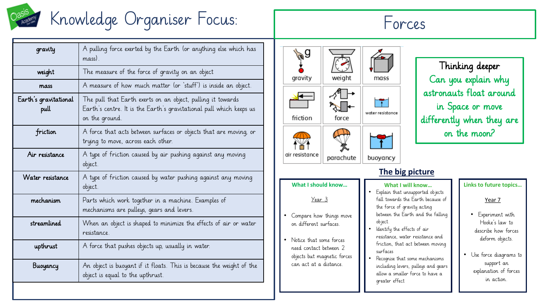

# Knowledge Organiser Focus: Forces

**gravity** A pulling force exerted by the Earth (or anything else which has mass). weight The measure of the force of gravity on an object  $mass$  A measure of how much matter (or 'stuff') is inside an object. Earth's gravitational pull The pull that Earth exerts on an object, pulling it towards Earth's centre. It is the Earth's gravitational pull which keeps us on the ground. friction A force that acts between surfaces or objects that are moving, or trying to move, across each other. Air resistance  $\Box$  A type of friction caused by air pushing against any moving object. Water resistance  $\Box$  A type of friction caused by water pushing against any moving object. mechanism | Parts which work together in a machine. Examples of mechanisms are pulleys, gears and levers. streamlined When an object is shaped to minimize the effects of air or water resistance. **upthrust**  $\begin{bmatrix} A & \end{bmatrix}$  A force that pushes objects up, usually in water. **Buoyancy** An object is buoyant if it floats. This is because the weight of the object is equal to the upthrust.





Thinking deeper Can you explain why astronauts float around in Space or move differently when they are on the moon?

### **The big picture**

### **What I should know…**

Year 3

- Compare how things move on different surfaces.
- Notice that some forces need contact between 2 objects but magnetic forces can act at a distance.

## **What I will know…**

- Explain that unsupported objects fall towards the Earth because of the force of gravity acting
	- between the Earth and the falling object. ldentify the effects of air
- resistance, water resistance and friction, that act between moving surfaces
- Recognise that some mechanisms including levers, pulleys and gears allow a smaller force to have a greater effect

### **Links to future topics…**

Year 7

- Experiment with Hooke's law to describe how forces deform objects.
- Use force diagrams to support an explanation of forces in action.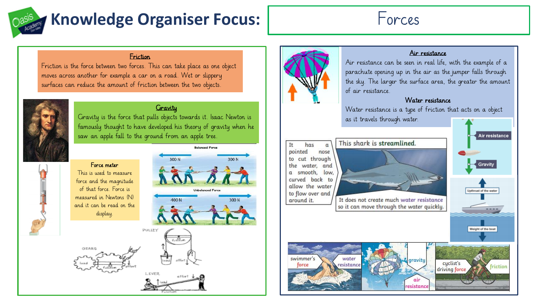# **Knowledge Organiser Focus:** Forces



### Friction

Friction is the force between two forces. This can take place as one object moves across another for example a car on a road. Wet or slippery surfaces can reduce the amount of friction between the two objects.



### *<u>Gravity</u>*

Gravity is the force that pulls objects towards it. Isaac Newton is famously thought to have developed his theory of gravity when he saw an apple fall to the ground from an apple tree.



This is used to measure force and the magnitude of that force. Force is measured in Newtons (N) and it can be read on the display.

GEADO

Force meter







### Air resistance

Air resistance can be seen in real life, with the example of a parachute opening up in the air as the jumper falls through the sky. The larger the surface area, the greater the amount of air resistance.

### Water resistance

Water resistance is a type of friction that acts on a object

as it travels through water.

#### This shark is streamlined. It has  $\alpha$ pointed nose to cut through the water, and a smooth, low. curved back to allow the water to flow over and around it.

It does not create much water resistance so it can move through the water quickly.



Air resistance